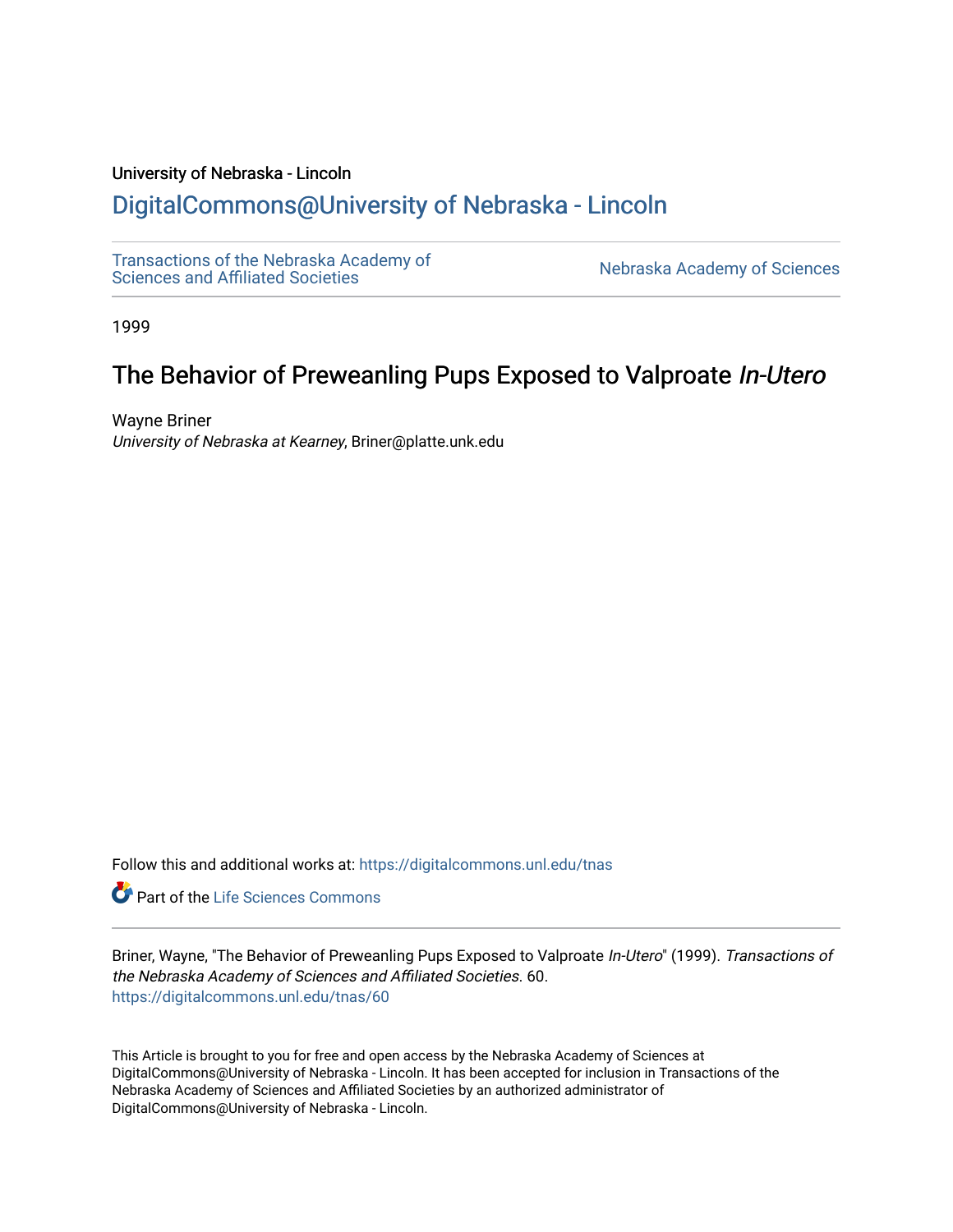## University of Nebraska - Lincoln

# [DigitalCommons@University of Nebraska - Lincoln](https://digitalcommons.unl.edu/)

[Transactions of the Nebraska Academy of](https://digitalcommons.unl.edu/tnas)  Transactions of the Nebraska Academy of Sciences<br>Sciences and Affiliated Societies

1999

# The Behavior of Preweanling Pups Exposed to Valproate In-Utero

Wayne Briner University of Nebraska at Kearney, Briner@platte.unk.edu

Follow this and additional works at: [https://digitalcommons.unl.edu/tnas](https://digitalcommons.unl.edu/tnas?utm_source=digitalcommons.unl.edu%2Ftnas%2F60&utm_medium=PDF&utm_campaign=PDFCoverPages) 

**Part of the Life Sciences Commons** 

Briner, Wayne, "The Behavior of Preweanling Pups Exposed to Valproate In-Utero" (1999). Transactions of the Nebraska Academy of Sciences and Affiliated Societies. 60. [https://digitalcommons.unl.edu/tnas/60](https://digitalcommons.unl.edu/tnas/60?utm_source=digitalcommons.unl.edu%2Ftnas%2F60&utm_medium=PDF&utm_campaign=PDFCoverPages)

This Article is brought to you for free and open access by the Nebraska Academy of Sciences at DigitalCommons@University of Nebraska - Lincoln. It has been accepted for inclusion in Transactions of the Nebraska Academy of Sciences and Affiliated Societies by an authorized administrator of DigitalCommons@University of Nebraska - Lincoln.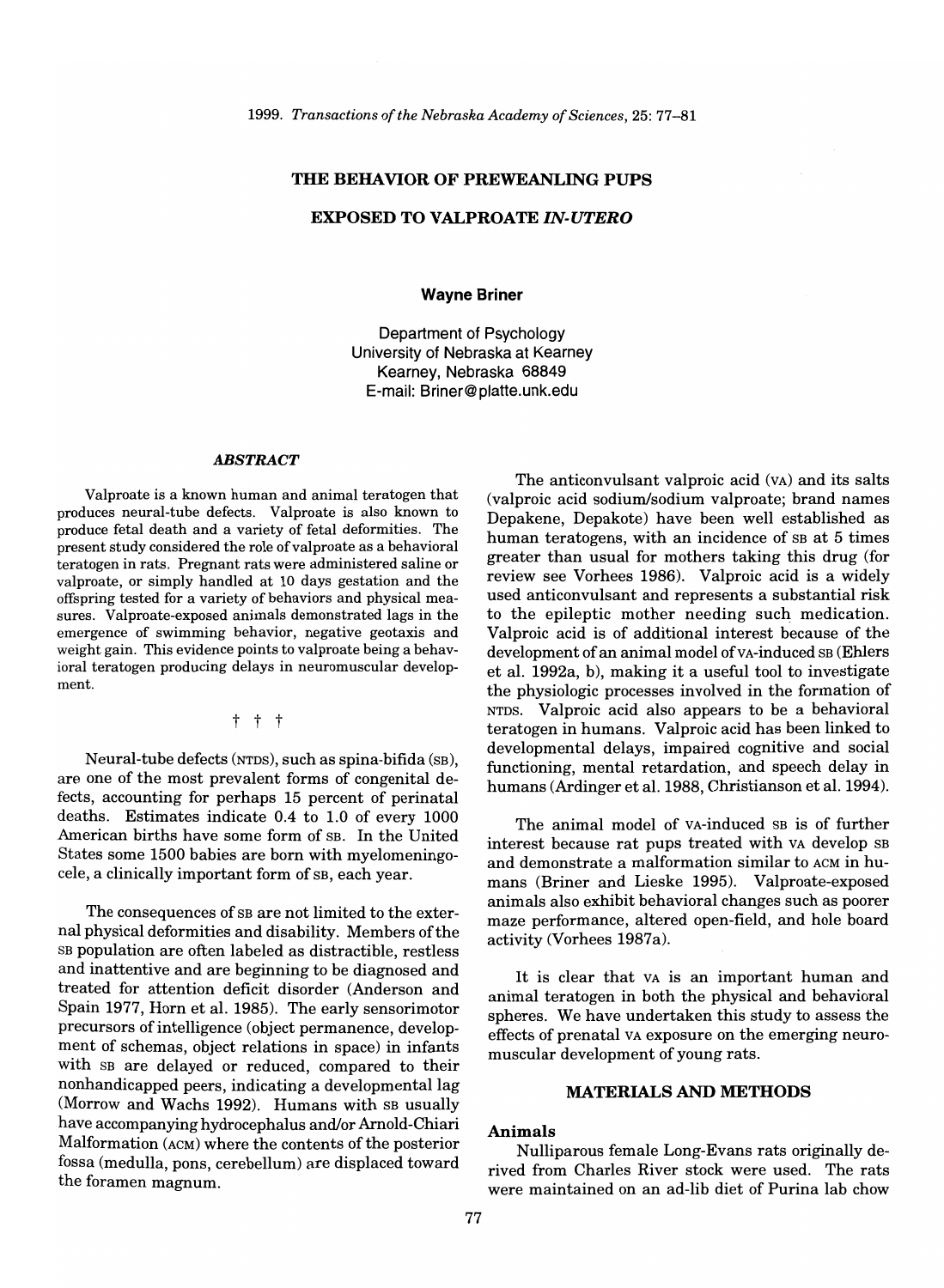## **THE BEHAVIOR OF PREWEANLING PUPS**

## **EXPOSED TO VALPROATE** *IN-UTERO*

**Wayne Briner** 

Department of Psychology University of Nebraska at Kearney Kearney, Nebraska 68849 E-mail: Briner@platte.unk.edu

#### ABSTRACT

Valproate is a known human and animal teratogen that produces neural-tube defects. Valproate is also known to produce fetal death and a variety of fetal deformities. The present study considered the role of valproate as a behavioral teratogen in rats. Pregnant rats were administered saline or valproate, or simply handled at 10 days gestation and the offspring tested for a variety of behaviors and physical measures. Valproate-exposed animals demonstrated lags in the emergence of swimming behavior, negative geotaxis and weight gain. This evidence points to valproate being a behavioral teratogen producing delays in neuromuscular development.

t t t

Neural-tube defects (NTDS), such as spina-bifida (SB), are one of the most prevalent forms of congenital defects, accounting for perhaps 15 percent of perinatal deaths. Estimates indicate 0.4 to 1.0 of every 1000 American births have some form of SB. In the United States some 1500 babies are born with myelomeningocele, a clinically important form of SB, each year.

The consequences of SB are not limited to the external physical deformities and disability. Members of the SB population are often labeled as distractible, restless and inattentive and are beginning to be diagnosed and treated for attention deficit disorder (Anderson and Spain 1977, Horn et al. 1985). The early sensorimotor precursors of intelligence (object permanence, development of schemas, object relations in space) in infants with SB are delayed or reduced, compared to their nonhandicapped peers, indicating a developmental lag (Morrow and Wachs 1992). Humans with SB usually have accompanying hydrocephalus and/or Arnold-Chiari Malformation (ACM) where the contents of the posterior fossa (medulla, pons, cerebellum) are displaced toward the foramen magnum.

The anticonvulsant valproic acid (VA) and its salts (valproic acid sodium/sodium valproate; brand names Depakene, Depakote) have been well established as human teratogens, with an incidence of SB at 5 times greater than usual for mothers taking this drug (for review see Vorhees 1986). Valproic acid is a widely used anticonvulsant and represents a substantial risk to the epileptic mother needing such medication. Valproic acid is of additional interest because of the development of an animal model of vA-induced SB (Ehlers et al. 1992a, b), making it a useful tool to investigate the physiologic processes involved in the formation of NTDS. Valproic acid also appears to be a behavioral teratogen in humans. Valproic acid has been linked to developmental delays, impaired cognitive and social functioning, mental retardation, and speech delay in humans (Ardinger et al. 1988, Christianson et al. 1994).

The animal model of VA-induced SB is of further interest because rat pups treated with VA develop SB and demonstrate a malformation similar to ACM in humans (Briner and Lieske 1995). Valproate-exposed animals also exhibit behavioral changes such as poorer maze performance, altered open-field, and hole board activity (Vorhees 1987a).

It is clear that VA is an important human and animal teratogen in both the physical and behavioral spheres. We have undertaken this study to assess the effects of prenatal VA exposure on the emerging neuromuscular development of young rats.

## **MATERIALS AND METHODS**

#### **Animals**

Nulliparous female Long-Evans rats originally derived from Charles River stock were used. The rats were maintained on an ad-lib diet of Purina lab chow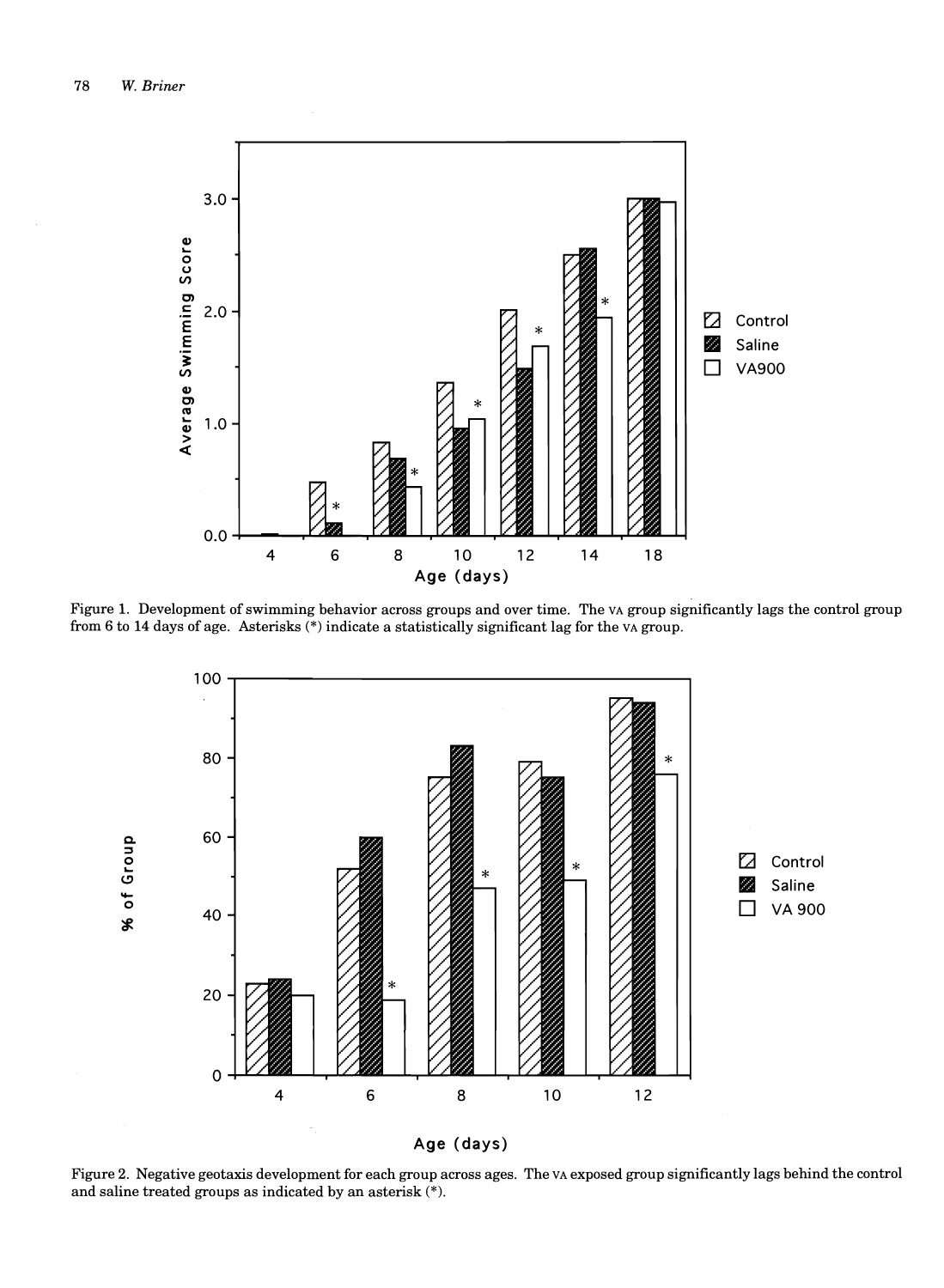

Figure 1. Development of swimming behavior across groups and over time. The VA group significantly lags the control group from 6 to 14 days of age. Asterisks (\*) indicate a statistically significant lag for the VA group.



Figure 2. Negative geotaxis development for each group across ages. The VA exposed group significantly lags behind the control and saline treated groups as indicated by an asterisk (\*).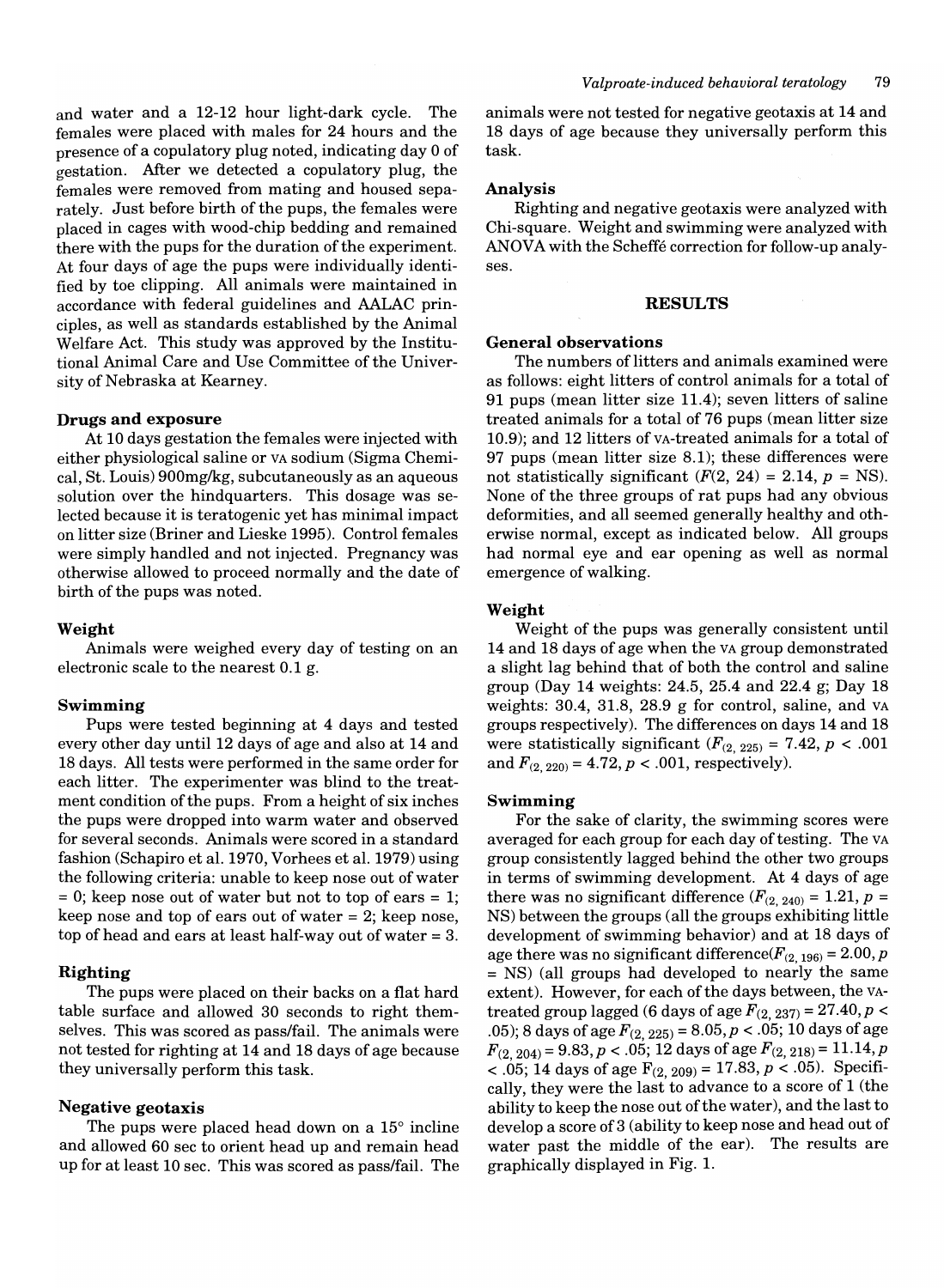and water and a 12-12 hour light-dark cycle. The females were placed with males for 24 hours and the presence of a copulatory plug noted, indicating day 0 of gestation. Mter we detected a copulatory plug, the females were removed from mating and housed separately. Just before birth of the pups, the females were placed in cages with wood-chip bedding and remained there with the pups for the duration of the experiment. At four days of age the pups were individually identified by toe clipping. All animals were maintained in accordance with federal guidelines and AALAC principles, as well as standards established by the Animal Welfare Act. This study was approved by the Institutional Animal Care and Use Committee of the University of Nebraska at Kearney.

#### **Drugs and exposure**

At 10 days gestation the females were injected with either physiological saline or VA sodium (Sigma Chemical, St. Louis) 900mg/kg, subcutaneously as an aqueous solution over the hindquarters. This dosage was selected because it is teratogenic yet has minimal impact on litter size (Briner and Lieske 1995). Control females were simply handled and not injected. Pregnancy was otherwise allowed to proceed normally and the date of birth of the pups was noted.

#### **Weight**

Animals were weighed every day of testing on an electronic scale to the nearest 0.1 g.

### **Swimming**

Pups were tested beginning at 4 days and tested every other day until 12 days of age and also at 14 and 18 days. All tests were performed in the same order for each litter. The experimenter was blind to the treatment condition of the pups. From a height of six inches the pups were dropped into warm water and observed for several seconds. Animals were scored in a standard fashion (Schapiro et al. 1970, Vorhees et al. 1979) using the following criteria: unable to keep nose out of water  $= 0$ ; keep nose out of water but not to top of ears  $= 1$ ; keep nose and top of ears out of water = 2; keep nose, top of head and ears at least half-way out of water = 3.

### **Righting**

The pups were placed on their backs on a flat hard table surface and allowed 30 seconds to right themselves. This was scored as pass/fail. The animals were not tested for righting at 14 and 18 days of age because they universally perform this task.

## **Negative geotaxis**

The pups were placed head down on a 15° incline and allowed 60 sec to orient head up and remain head up for at least 10 sec. This was scored as pass/fail. The animals were not tested for negative geotaxis at 14 and 18 days of age because they universally perform this task.

#### **Analysis**

Righting and negative geotaxis were analyzed with Chi-square. Weight and swimming were analyzed with ANOVA with the Scheffe correction for follow-up analyses.

#### **RESULTS**

#### **General observations**

The numbers of litters and animals examined were as follows: eight litters of control animals for a total of 91 pups (mean litter size 11.4); seven litters of saline treated animals for a total of 76 pups (mean litter size 10.9); and 12 litters of vA-treated animals for a total of 97 pups (mean litter size 8.1); these differences were not statistically significant  $(F(2, 24) = 2.14, p = NS)$ . None of the three groups of rat pups had any obvious deformities, and all seemed generally healthy and otherwise normal, except as indicated below. All groups had normal eye and ear opening as well as normal emergence of walking.

#### **Weight**

Weight of the pups was generally consistent until 14 and 18 days of age when the VA group demonstrated a slight lag behind that of both the control and saline group (Day 14 weights: 24.5, 25.4 and 22.4 g; Day 18 weights: 30.4, 31.8, 28.9 g for control, saline, and VA groups respectively). The differences on days 14 and 18 were statistically significant  $(F_{(2, 225)} = 7.42, p < .001$ and  $F_{(2, 220)} = 4.72, p < .001$ , respectively).

#### **Swimming**

For the sake of clarity, the swimming scores were averaged for each group for each day of testing. The VA group consistently lagged behind the other two groups in terms of swimming development. At 4 days of age there was no significant difference  $(F_{(2, 240)} = 1.21, p =$ NS) between the groups (all the groups exhibiting little development of swimming behavior) and at 18 days of age there was no significant difference( $F_{(2, 196)} = 2.00$ , p = NS) (all groups had developed to nearly the same extent). However, for each of the days between, the VAtreated group lagged (6 days of age  $F_{(2, 237)} = 27.40, p <$ .05); 8 days of age *F(2,* 225) = *8.05,p* < .05; 10 days of age  $F_{(2, 204)} = 9.83, p < .05; 12$  days of age  $F_{(2, 218)} = 11.14, p$ < .05; 14 days of age  $F_{(2, 209)} = 17.83, p < .05$ ). Specifically, they were the last to advance to a score of 1 (the ability to keep the nose out of the water), and the last to develop a score of 3 (ability to keep nose and head out of water past the middle of the ear). The results are graphically displayed in Fig. 1.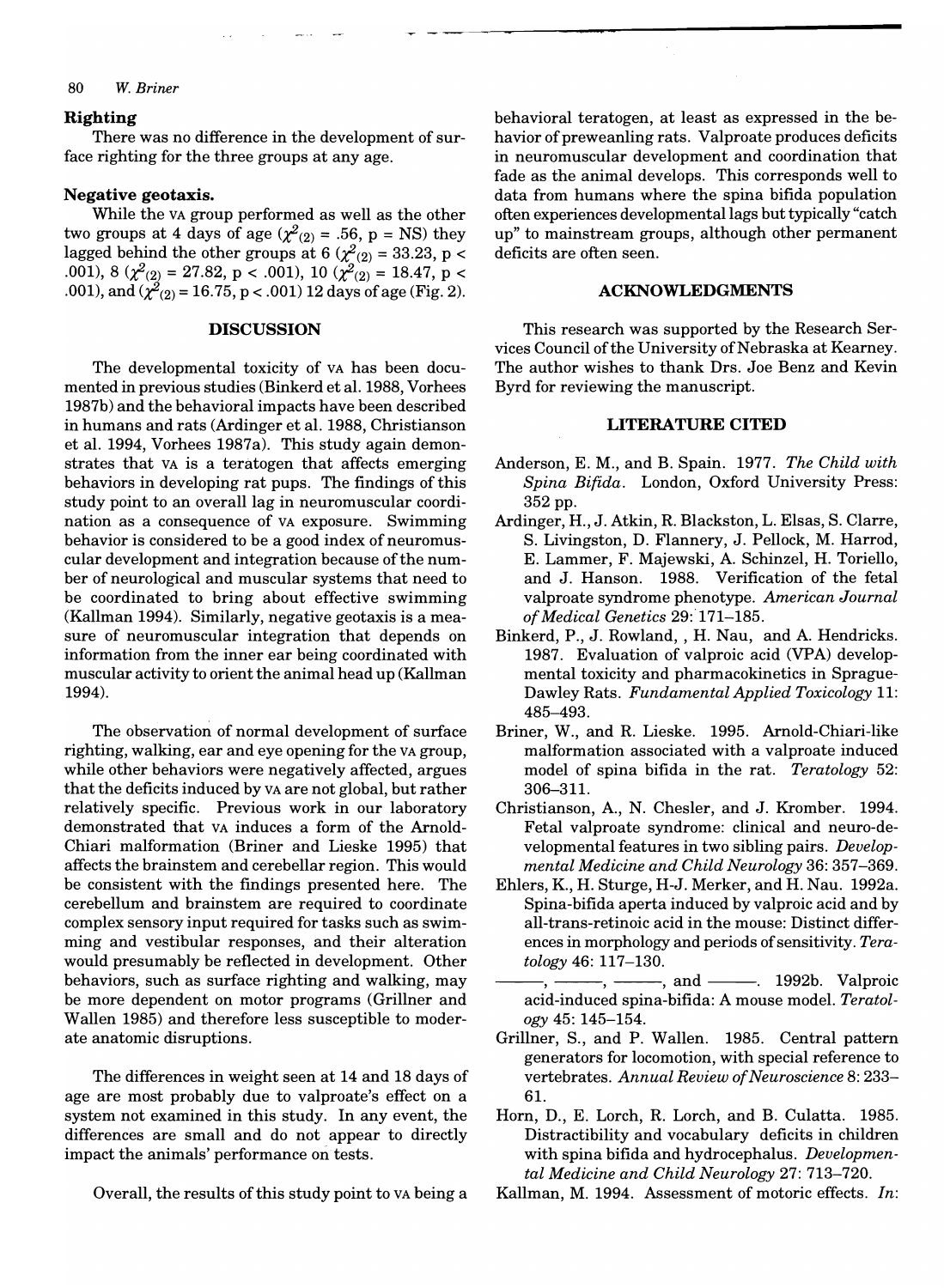#### *80 W. Briner*

## **Righting**

There was no difference in the development of surface righting for the three groups at any age.

## **Negative geotaxis.**

While the VA group performed as well as the other two groups at 4 days of age ( $\chi^2_{(2)} = .56$ , p = NS) they lagged behind the other groups at 6 ( $\chi^2$ <sub>(2)</sub> = 33.23, p < 001), 8 ( $\chi^2_{(2)}$  = 27.82, p < .001), 10 ( $\chi^2_{(2)}$  = 18.47, p < 001), and  $\chi^2_{(2)} = 16.75$ , p < .001) 12 days of age (Fig. 2).

#### **DISCUSSION**

The developmental toxicity of VA has been documented in previous studies (Binkerd et al. 1988, Vorhees 1987b) and the behavioral impacts have been described in humans and rats (Ardinger et al. 1988, Christianson et al. 1994, Vorhees 1987a). This study again demonstrates that VA is a teratogen that affects emerging behaviors in developing rat pups. The findings of this study point to an overall lag in neuromuscular coordination as a consequence of VA exposure. Swimming behavior is considered to be a good index of neuromuscular development and integration because of the number of neurological and muscular systems that need to be coordinated to bring about effective swimming (Kallman 1994). Similarly, negative geotaxis is a measure of neuromuscular integration that depends on information from the inner ear being coordinated with muscular activity to orient the animal head up (Kallman 1994).

The observation of normal development of surface righting, walking, ear and eye opening for the VA group, while other behaviors were negatively affected, argues that the deficits induced by VA are not global, but rather relatively specific. Previous work in our laboratory demonstrated that VA induces a form of the Arnold-Chiari malformation (Briner and Lieske 1995) that affects the brainstem and cerebellar region. This would be consistent with the findings presented here. The cerebellum and brainstem are required to coordinate complex sensory input required for tasks such as swimming and vestibular responses, and their alteration would presumably be reflected in development. Other behaviors, such as surface righting and walking, may be more dependent on motor programs (Grillner and Wallen 1985) and therefore less susceptible to moderate anatomic disruptions.

The differences in weight seen at 14 and 18 days of age are most probably due to valproate's effect on a system not examined in this study. In any event, the differences are small and do not appear to directly impact the animals' performance on tests.

Overall, the results of this study point to VA being a

behavioral teratogen, at least as expressed in the behavior of preweanling rats. Valproate produces deficits in neuromuscular development and coordination that fade as the animal develops. This corresponds well to data from humans where the spina bifida population often experiences developmental lags but typically "catch up" to mainstream groups, although other permanent deficits are often seen.

## **ACKNOWLEDGMENTS**

This research was supported by the Research Services Council of the University of Nebraska at Kearney. The author wishes to thank Drs. Joe Benz and Kevin Byrd for reviewing the manuscript.

## **LITERATURE CITED**

- Anderson, E. M., and B. Spain. 1977. *The Child with Spina Bifida.* London, Oxford University Press: 352 pp.
- Ardinger, H., J. Atkin, R. Blackston, L. Elsas, S. Clarre, S. Livingston, D. Flannery, J. Pellock, M. Harrod, E. Lammer, F. Majewski, A. Schinzel, H. Toriello, and J. Hanson. 1988. Verification of the fetal valproate syndrome phenotype. *American Journal of Medical Genetics* 29: 171-185.
- Binkerd, P., J. Rowland, , H. Nau, and A. Hendricks. 1987. Evaluation of valproic acid (VPA) developmental toxicity and pharmacokinetics in Sprague-Dawley Rats. *Fundamental Applied Toxicology 11:*  485-493.
- Briner, W., and R. Lieske. 1995. Arnold-Chiari-like malformation associated with a valproate induced model of spina bifida in the rat. *Teratology* 52: 306-311.
- Christianson, A., N. Chesler, and J. Kromber. 1994. Fetal valproate syndrome: clinical and neuro-developmental features in two sibling pairs. *Developmental Medicine and Child Neurology* 36: 357-369.
- Ehlers, K., H. Sturge, H-J. Merker, and H. Nau. 1992a. Spina-bifida aperta induced by valproic acid and by all-trans-retinoic acid in the mouse: Distinct differences in morphology and periods of sensitivity. *Teratology* 46: 117-130.
	- -, ------, -------, and -------. 1992b. Valproic acid-induced spina-bifida: A mouse model. *Teratology* 45: 145-154.
- Grillner, S., and P. Wallen. 1985. Central pattern generators for locomotion, with special reference to vertebrates. *Annual Review of Neuroscience* 8: 233- 6l.
- Horn, D., E. Lorch, R. Lorch, and B. Culatta. 1985. Distractibility and vocabulary deficits in children with spina bifida and hydrocephalus. *Developmental Medicine and Child Neurology* 27: 713-720.
- Kallman, M. 1994. Assessment of motoric effects. *In:*